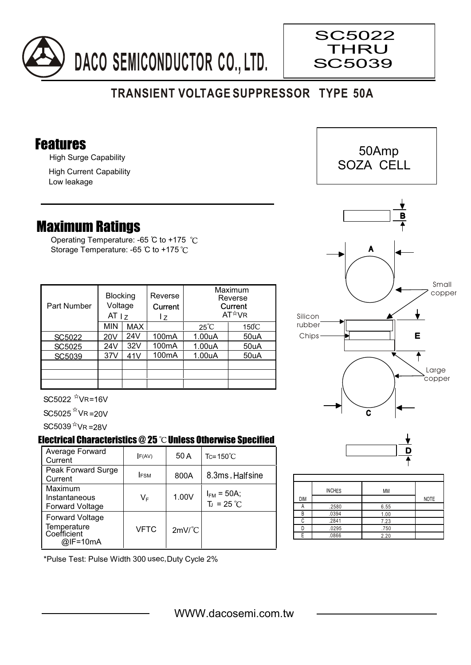

## **TRANSIENT VOLTAGE SUPPRESSOR TYPE 50A**

## Features

High Surge Capability

High Current Capability Low leakage

## Maximum Ratings

Operating Temperature: -65 °C to +175 °C Storage Temperature: -65 °C to +175 °C

| Part Number | <b>Blocking</b><br>Voltage<br>AT <sub>17</sub> |            | Reverse<br>Current<br>I z | Maximum<br>Reverse<br>Current<br>AT <sup>*</sup> VR |                 |
|-------------|------------------------------------------------|------------|---------------------------|-----------------------------------------------------|-----------------|
|             | <b>MIN</b>                                     | <b>MAX</b> |                           | $25^{\circ}$ C                                      | $150^{\circ}$ C |
| SC5022      | 20V                                            | 24V        | 100 <sub>m</sub> A        | 1.00uA                                              | 50uA            |
| SC5025      | 24V                                            | 32V        | 100mA                     | 1.00uA                                              | 50uA            |
| SC5039      | 37V                                            | 41V        | 100 <sub>m</sub> A        | 1.00uA                                              | 50uA            |
|             |                                                |            |                           |                                                     |                 |
|             |                                                |            |                           |                                                     |                 |
|             |                                                |            |                           |                                                     |                 |

 $SC5022$   $N$ VR=16V

 $SC5025$   $N$  VR =20V

 $SC5039$ <sup> $x$ </sup>VR =28V

## Electrical Characteristics  $@25$   $^{\circ}\textsf{C}$  Unless Otherwise Specified

| Average Forward<br>Current                                       | F(AV)       | 50 A                 | $Tc = 150^{\circ}C$                    |
|------------------------------------------------------------------|-------------|----------------------|----------------------------------------|
| Peak Forward Surge<br>Current                                    | <b>IFSM</b> | 800A                 | 8.3ms, Halfsine                        |
| Maximum<br>Instantaneous<br><b>Forward Voltage</b>               | VF          | 1.00V                | $I_{FM}$ = 50A;<br>$T_J = 25^{\circ}C$ |
| <b>Forward Voltage</b><br>Temperature<br>Coefficient<br>@IF=10mA | <b>VFTC</b> | $2mV$ <sup>°</sup> C |                                        |





 50Amp SOZA CELL

 $\overline{\phantom{a}}$ 





|            | <b>INCHES</b> | MM   |             |
|------------|---------------|------|-------------|
| <b>DIM</b> |               |      | <b>NOTE</b> |
|            | .2580         | 6.55 |             |
| B          | .0394         | 1.00 |             |
|            | .2841         | 7.23 |             |
|            | .0295         | .750 |             |
|            | .0866         | 2.20 |             |